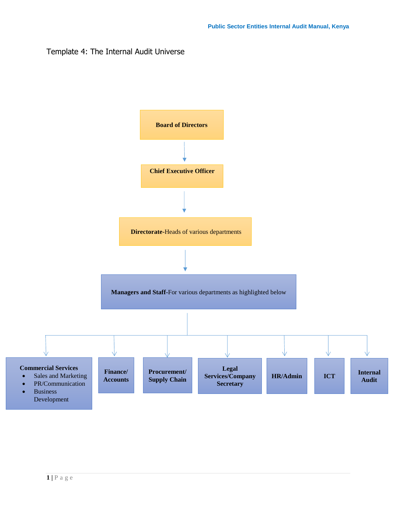## Template 4: The Internal Audit Universe